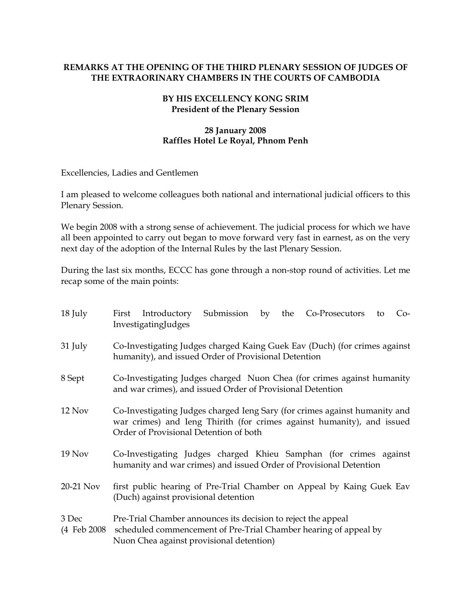## REMARKS AT THE OPENING OF THE THIRD PLENARY SESSION OF JUDGES OF THE EXTRAORINARY CHAMBERS IN THE COURTS OF CAMBODIA

## BY HIS EXCELLENCY KONG SRIM President of the Plenary Session

## 28 January 2008 Raffles Hotel Le Royal, Phnom Penh

Excellencies, Ladies and Gentlemen

I am pleased to welcome colleagues both national and international judicial officers to this Plenary Session.

We begin 2008 with a strong sense of achievement. The judicial process for which we have all been appointed to carry out began to move forward very fast in earnest, as on the very next day of the adoption of the Internal Rules by the last Plenary Session.

During the last six months, ECCC has gone through a non-stop round of activities. Let me recap some of the main points:

| 18 July   | Submission by the Co-Prosecutors to<br>First Introductory<br>$Co-$<br>InvestigatingJudges                                                                                                      |
|-----------|------------------------------------------------------------------------------------------------------------------------------------------------------------------------------------------------|
| 31 July   | Co-Investigating Judges charged Kaing Guek Eav (Duch) (for crimes against<br>humanity), and issued Order of Provisional Detention                                                              |
| 8 Sept    | Co-Investigating Judges charged Nuon Chea (for crimes against humanity<br>and war crimes), and issued Order of Provisional Detention                                                           |
| 12 Nov    | Co-Investigating Judges charged Ieng Sary (for crimes against humanity and<br>war crimes) and Ieng Thirith (for crimes against humanity), and issued<br>Order of Provisional Detention of both |
| 19 Nov    | Co-Investigating Judges charged Khieu Samphan (for crimes against<br>humanity and war crimes) and issued Order of Provisional Detention                                                        |
| 20-21 Nov | first public hearing of Pre-Trial Chamber on Appeal by Kaing Guek Eav<br>(Duch) against provisional detention                                                                                  |
| 3 Dec     | Pre-Trial Chamber announces its decision to reject the appeal<br>(4 Feb 2008 scheduled commencement of Pre-Trial Chamber hearing of appeal by<br>Nuon Chea against provisional detention)      |